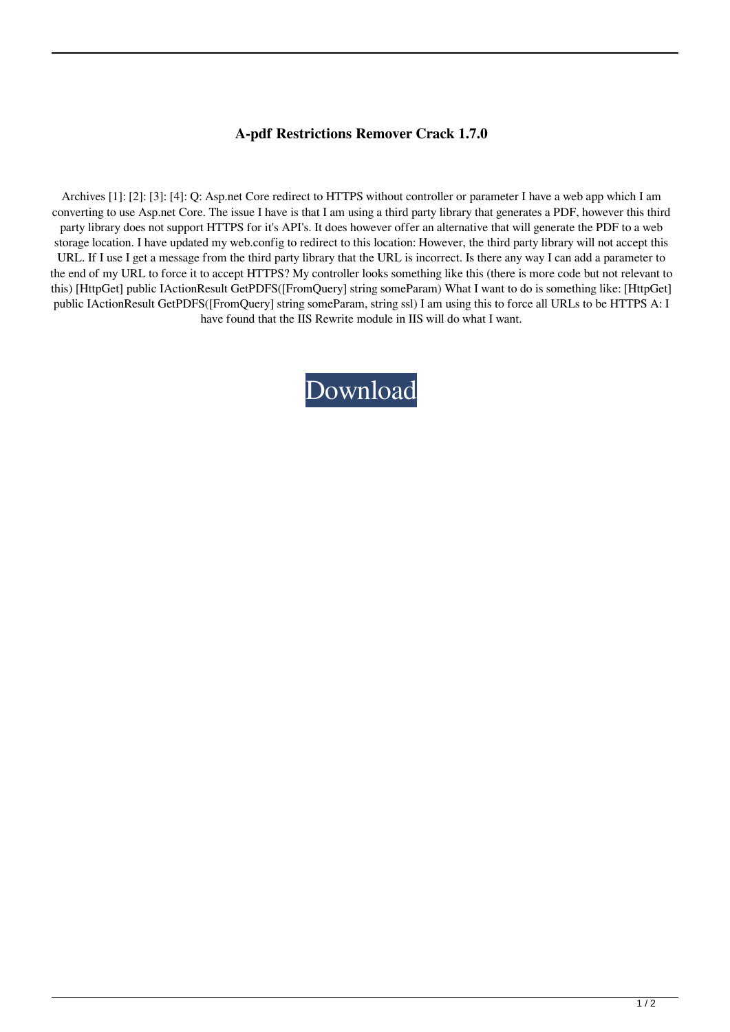## **A-pdf Restrictions Remover Crack 1.7.0**

Archives [1]: [2]: [3]: [4]: Q: Asp.net Core redirect to HTTPS without controller or parameter I have a web app which I am converting to use Asp.net Core. The issue I have is that I am using a third party library that generates a PDF, however this third party library does not support HTTPS for it's API's. It does however offer an alternative that will generate the PDF to a web storage location. I have updated my web.config to redirect to this location: However, the third party library will not accept this URL. If I use I get a message from the third party library that the URL is incorrect. Is there any way I can add a parameter to the end of my URL to force it to accept HTTPS? My controller looks something like this (there is more code but not relevant to this) [HttpGet] public IActionResult GetPDFS([FromQuery] string someParam) What I want to do is something like: [HttpGet] public IActionResult GetPDFS([FromQuery] string someParam, string ssl) I am using this to force all URLs to be HTTPS A: I have found that the IIS Rewrite module in IIS will do what I want.